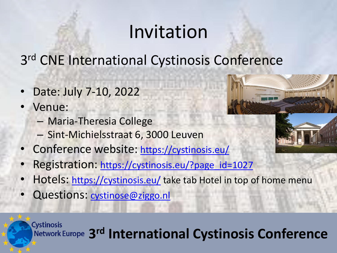# Invitation

3<sup>rd</sup> CNE International Cystinosis Conference

- Date: July 7-10, 2022
- Venue:
	- Maria-Theresia College
	- Sint-Michielsstraat 6, 3000 Leuven
- Conference website: [https://cystinosis.eu/](https://mail.med.uni-heidelberg.de/,DanaInfo=cystinosis.eu,SSL+)
- Registration: [https://cystinosis.eu/?page\\_id=1027](https://mail.med.uni-heidelberg.de/,DanaInfo=cystinosis.eu,SSL+?page_id=1027)
- Hotels: [https://cystinosis.eu/](https://mail.med.uni-heidelberg.de/,DanaInfo=cystinosis.eu,SSL+) take tab Hotel in top of home menu
- Questions: [cystinose@ziggo.nl](mailto:cystinosis@ziggo.nl)



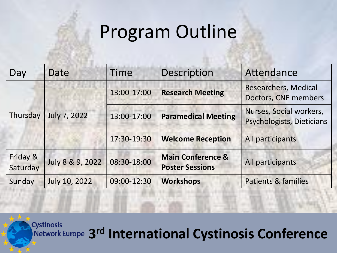### Program Outline

| Day                  | Date                | <b>Time</b> | Description                                            | Attendance                                           |
|----------------------|---------------------|-------------|--------------------------------------------------------|------------------------------------------------------|
| Thursday             | <b>July 7, 2022</b> | 13:00-17:00 | <b>Research Meeting</b>                                | Researchers, Medical<br>Doctors, CNE members         |
|                      |                     | 13:00-17:00 | <b>Paramedical Meeting</b>                             | Nurses, Social workers,<br>Psychologists, Dieticians |
|                      |                     | 17:30-19:30 | <b>Welcome Reception</b>                               | All participants                                     |
| Friday &<br>Saturday | July 8 & 9, 2022    | 08:30-18:00 | <b>Main Conference &amp;</b><br><b>Poster Sessions</b> | All participants                                     |
| Sunday               | July 10, 2022       | 09:00-12:30 | <b>Workshops</b>                                       | <b>Patients &amp; families</b>                       |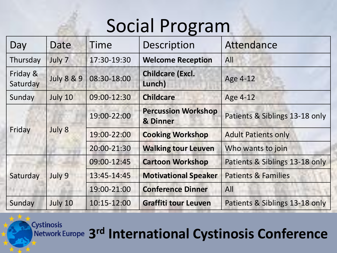# Social Program

| Day                  | Date                  | Time        | Description                            | Attendance                     |
|----------------------|-----------------------|-------------|----------------------------------------|--------------------------------|
| Thursday             | July 7                | 17:30-19:30 | <b>Welcome Reception</b>               | All                            |
| Friday &<br>Saturday | <b>July 8 &amp; 9</b> | 08:30-18:00 | <b>Childcare (Excl.</b><br>Lunch)      | Age 4-12                       |
| Sunday               | July 10               | 09:00-12:30 | <b>Childcare</b>                       | Age 4-12                       |
| Friday               | July 8                | 19:00-22:00 | <b>Percussion Workshop</b><br>& Dinner | Patients & Siblings 13-18 only |
|                      |                       | 19:00-22:00 | <b>Cooking Workshop</b>                | <b>Adult Patients only</b>     |
|                      |                       | 20:00-21:30 | <b>Walking tour Leuven</b>             | Who wants to join              |
| Saturday             | July 9                | 09:00-12:45 | <b>Cartoon Workshop</b>                | Patients & Siblings 13-18 only |
|                      |                       | 13:45-14:45 | <b>Motivational Speaker</b>            | <b>Patients &amp; Families</b> |
|                      |                       | 19:00-21:00 | <b>Conference Dinner</b>               | All                            |
| Sunday               | July 10               | 10:15-12:00 | <b>Graffiti tour Leuven</b>            | Patients & Siblings 13-18 only |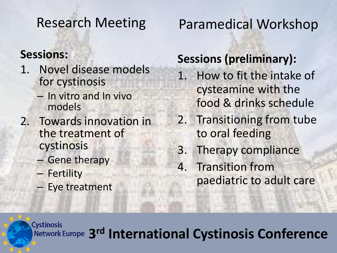### Research Meeting

#### **Sessions:**

- 1. Novel disease models for cystinosis
	- In vitro and In vivo models
- 2. Towards innovation in the treatment of cystinosis
	- Gene therapy
	- Fertility
	- Eye treatment

### Paramedical Workshop

#### **Sessions (preliminary):**

- 1. How to fit the intake of cysteamine with the food & drinks schedule
- 2. Transitioning from tube to oral feeding
- 3. Therapy compliance
- 4. Transition from paediatric to adult care